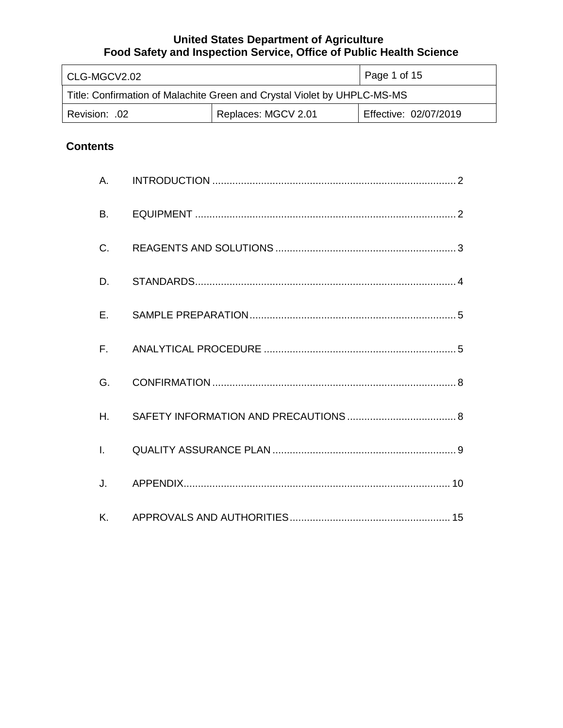| l CLG-MGCV2.02                                                           |                     | Page 1 of 15          |  |
|--------------------------------------------------------------------------|---------------------|-----------------------|--|
| Title: Confirmation of Malachite Green and Crystal Violet by UHPLC-MS-MS |                     |                       |  |
| .02. :Revision                                                           | Replaces: MGCV 2.01 | Effective: 02/07/2019 |  |

# **Contents**

| <b>B.</b>    |  |
|--------------|--|
| $C_{\cdot}$  |  |
| D.           |  |
| $E_{\rm{r}}$ |  |
|              |  |
| G.           |  |
| H.           |  |
| $\mathbf{L}$ |  |
| J.           |  |
| K.           |  |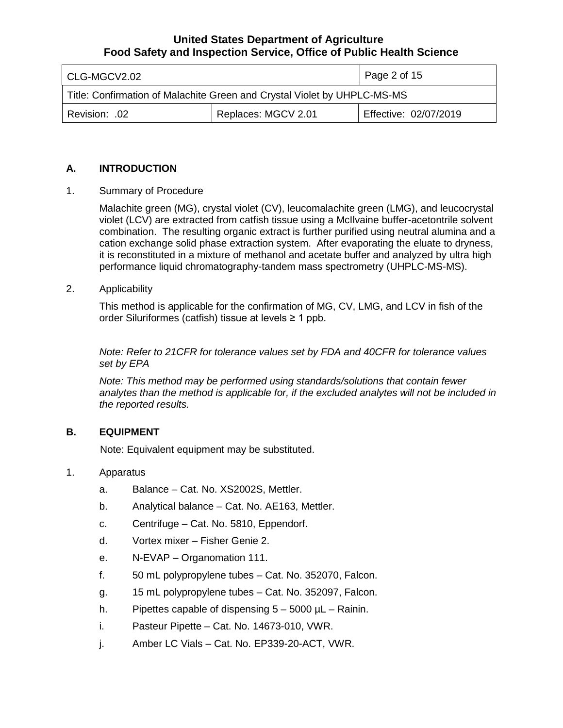| l CLG-MGCV2.02                                                           |                     | Page 2 of 15          |
|--------------------------------------------------------------------------|---------------------|-----------------------|
| Title: Confirmation of Malachite Green and Crystal Violet by UHPLC-MS-MS |                     |                       |
| Revision: .02                                                            | Replaces: MGCV 2.01 | Effective: 02/07/2019 |

### **A. INTRODUCTION**

1. Summary of Procedure

 Malachite green (MG), crystal violet (CV), leucomalachite green (LMG), and leucocrystal violet (LCV) are extracted from catfish tissue using a McIlvaine buffer-acetontrile solvent combination. The resulting organic extract is further purified using neutral alumina and a cation exchange solid phase extraction system. After evaporating the eluate to dryness, it is reconstituted in a mixture of methanol and acetate buffer and analyzed by ultra high performance liquid chromatography-tandem mass spectrometry (UHPLC-MS-MS).

#### 2. Applicability

 This method is applicable for the confirmation of MG, CV, LMG, and LCV in fish of the order Siluriformes (catfish) tissue at levels ≥ 1 ppb.

 *Note: Refer to 21CFR for tolerance values set by FDA and 40CFR for tolerance values set by EPA* 

 *Note: This method may be performed using standards/solutions that contain fewer analytes than the method is applicable for, if the excluded analytes will not be included in the reported results.* 

## **B. EQUIPMENT**

Note: Equivalent equipment may be substituted.

- 1. Apparatus
	- a. Balance Cat. No. XS2002S, Mettler.
	- b. Analytical balance Cat. No. AE163, Mettler.
	- c. Centrifuge Cat. No. 5810, Eppendorf.
	- d. Vortex mixer Fisher Genie 2.
	- e. N-EVAP Organomation 111.
	- f. 50 mL polypropylene tubes Cat. No. 352070, Falcon.
	- g. 15 mL polypropylene tubes Cat. No. 352097, Falcon.
	- h. Pipettes capable of dispensing 5 5000 µL Rainin.
	- i. Pasteur Pipette Cat. No. 14673-010, VWR.
	- j. Amber LC Vials Cat. No. EP339-20-ACT, VWR.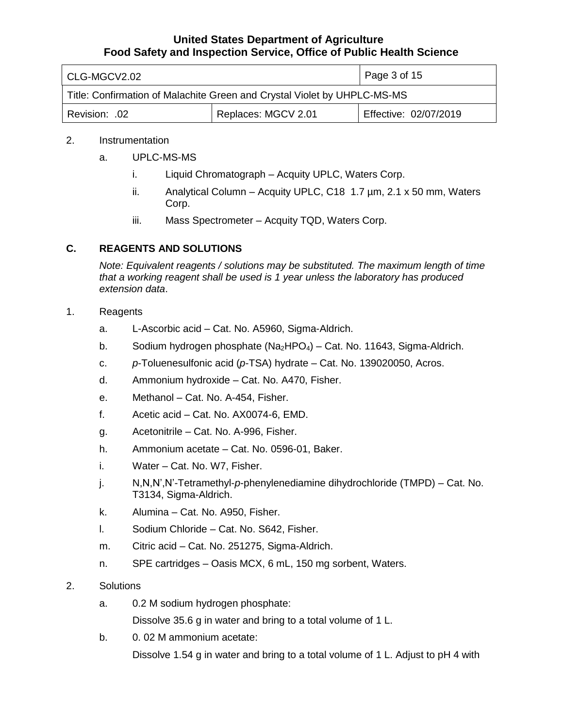| l CLG-MGCV2.02                                                           |                     | Page 3 of 15          |
|--------------------------------------------------------------------------|---------------------|-----------------------|
| Title: Confirmation of Malachite Green and Crystal Violet by UHPLC-MS-MS |                     |                       |
| Revision: .02                                                            | Replaces: MGCV 2.01 | Effective: 02/07/2019 |

## 2. Instrumentation

- a. UPLC-MS-MS
	- i. Liquid Chromatograph Acquity UPLC, Waters Corp.
	- ii. Analytical Column Acquity UPLC, C18 1.7 µm, 2.1 x 50 mm, Waters Corp.
	- iii. Mass Spectrometer Acquity TQD, Waters Corp.

# **C. REAGENTS AND SOLUTIONS**

 *Note: Equivalent reagents / solutions may be substituted. The maximum length of time that a working reagent shall be used is 1 year unless the laboratory has produced extension data*.

- 1. Reagents
	- a. L-Ascorbic acid Cat. No. A5960, Sigma-Aldrich.
	- b. Sodium hydrogen phosphate  $(Na_2HPO_4)$  Cat. No. 11643, Sigma-Aldrich.
	- c. *p*-Toluenesulfonic acid (*p*-TSA) hydrate Cat. No. 139020050, Acros.
	- d. Ammonium hydroxide Cat. No. A470, Fisher.
	- e. Methanol Cat. No. A-454, Fisher.
	- f. Acetic acid Cat. No. AX0074-6, EMD.
	- g. Acetonitrile Cat. No. A-996, Fisher.
	- h. Ammonium acetate Cat. No. 0596-01, Baker.
	- i. Water Cat. No. W7, Fisher.
	- j. N,N,N',N'-Tetramethyl-*p*-phenylenediamine dihydrochloride (TMPD) Cat. No. T3134, Sigma-Aldrich.
	- k. Alumina Cat. No. A950, Fisher.
	- l. Sodium Chloride Cat. No. S642, Fisher.
	- m. Citric acid Cat. No. 251275, Sigma-Aldrich.
	- n. SPE cartridges Oasis MCX, 6 mL, 150 mg sorbent, Waters.
- 2. Solutions
	- a. 0.2 M sodium hydrogen phosphate:

Dissolve 35.6 g in water and bring to a total volume of 1 L.

b. 0. 02 M ammonium acetate:

Dissolve 1.54 g in water and bring to a total volume of 1 L. Adjust to pH 4 with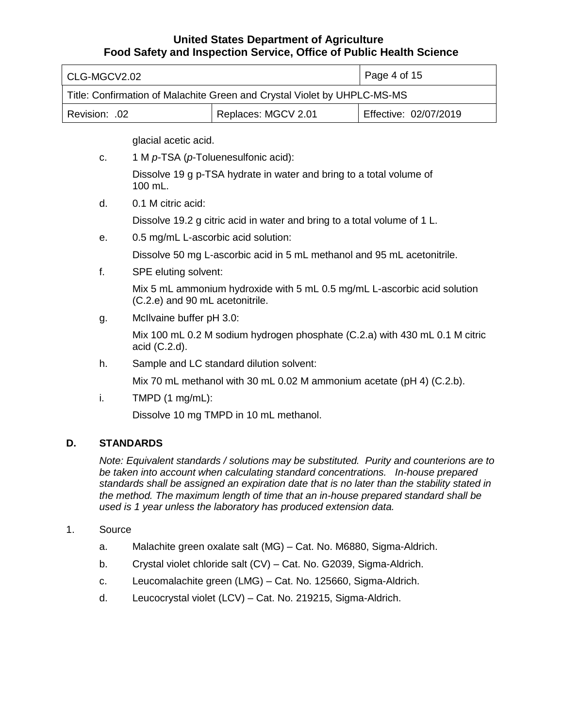| l CLG-MGCV2.02                                                           |  | Page 4 of $15$        |  |
|--------------------------------------------------------------------------|--|-----------------------|--|
| Title: Confirmation of Malachite Green and Crystal Violet by UHPLC-MS-MS |  |                       |  |
| Replaces: MGCV 2.01<br>  Revision: .02                                   |  | Effective: 02/07/2019 |  |

glacial acetic acid.

- Dissolve 19 g p-TSA hydrate in water and bring to a total volume of 100 mL.
- d. 0.1 M citric acid:

Dissolve 19.2 g citric acid in water and bring to a total volume of 1 L.

e. 0.5 mg/mL L-ascorbic acid solution:

c. 1 M *p*-TSA (*p*-Toluenesulfonic acid):

Dissolve 50 mg L-ascorbic acid in 5 mL methanol and 95 mL acetonitrile.

f. SPE eluting solvent:

 Mix 5 mL ammonium hydroxide with 5 mL 0.5 mg/mL L-ascorbic acid solution (C.2.e) and 90 mL acetonitrile.

g. McIlvaine buffer pH 3.0:

 Mix 100 mL 0.2 M sodium hydrogen phosphate (C.2.a) with 430 mL 0.1 M citric acid (C.2.d).

h. Sample and LC standard dilution solvent:

Mix 70 mL methanol with 30 mL 0.02 M ammonium acetate (pH 4) (C.2.b).

i. TMPD  $(1 \text{ mg/mL})$ :

Dissolve 10 mg TMPD in 10 mL methanol.

# **D. STANDARDS**

 *Note: Equivalent standards / solutions may be substituted. Purity and counterions are to be taken into account when calculating standard concentrations. In-house prepared standards shall be assigned an expiration date that is no later than the stability stated in the method. The maximum length of time that an in-house prepared standard shall be used is 1 year unless the laboratory has produced extension data.* 

# 1. Source

- a. Malachite green oxalate salt (MG) Cat. No. M6880, Sigma-Aldrich.
- b. Crystal violet chloride salt (CV) Cat. No. G2039, Sigma-Aldrich.
- c. Leucomalachite green (LMG) Cat. No. 125660, Sigma-Aldrich.
- d. Leucocrystal violet (LCV) Cat. No. 219215, Sigma-Aldrich.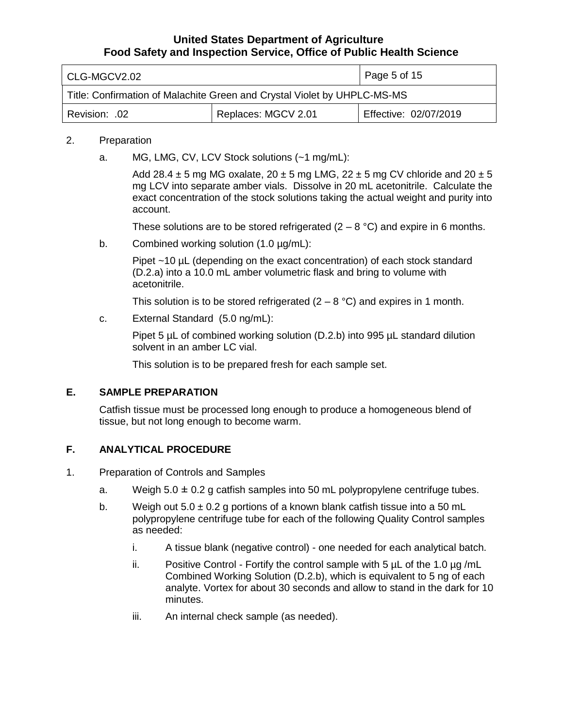| CLG-MGCV2.02                                                             |                     | Page 5 of 15          |  |
|--------------------------------------------------------------------------|---------------------|-----------------------|--|
| Title: Confirmation of Malachite Green and Crystal Violet by UHPLC-MS-MS |                     |                       |  |
| Revision: .02                                                            | Replaces: MGCV 2.01 | Effective: 02/07/2019 |  |

### 2. Preparation

a. MG, LMG, CV, LCV Stock solutions (~1 mg/mL):

Add 28.4  $\pm$  5 mg MG oxalate, 20  $\pm$  5 mg LMG, 22  $\pm$  5 mg CV chloride and 20  $\pm$  5 mg LCV into separate amber vials. Dissolve in 20 mL acetonitrile. Calculate the exact concentration of the stock solutions taking the actual weight and purity into account.

account.<br>These solutions are to be stored refrigerated (2 – 8 °C) and expire in 6 months.

b. Combined working solution  $(1.0 \mu g/mL)$ :

 Pipet ~10 µL (depending on the exact concentration) of each stock standard acetonitrile. (D.2.a) into a 10.0 mL amber volumetric flask and bring to volume with

acetonitrile.<br>This solution is to be stored refrigerated (2 – 8 °C) and expires in 1 month.

c. External Standard (5.0 ng/mL):

 Pipet 5 µL of combined working solution (D.2.b) into 995 µL standard dilution solvent in an amber LC vial.

This solution is to be prepared fresh for each sample set.

### **E. SAMPLE PREPARATION**

 Catfish tissue must be processed long enough to produce a homogeneous blend of tissue, but not long enough to become warm.

# **F. ANALYTICAL PROCEDURE**

- 1. Preparation of Controls and Samples
	- a. Weigh  $5.0 \pm 0.2$  g catfish samples into 50 mL polypropylene centrifuge tubes.
	- b. Weigh out  $5.0 \pm 0.2$  g portions of a known blank catfish tissue into a 50 mL polypropylene centrifuge tube for each of the following Quality Control samples as needed:
		- i. A tissue blank (negative control) one needed for each analytical batch.
		- ii. Positive Control Fortify the control sample with 5  $\mu$ L of the 1.0  $\mu$ g/mL Combined Working Solution (D.2.b), which is equivalent to 5 ng of each analyte. Vortex for about 30 seconds and allow to stand in the dark for 10 minutes.
		- iii. An internal check sample (as needed).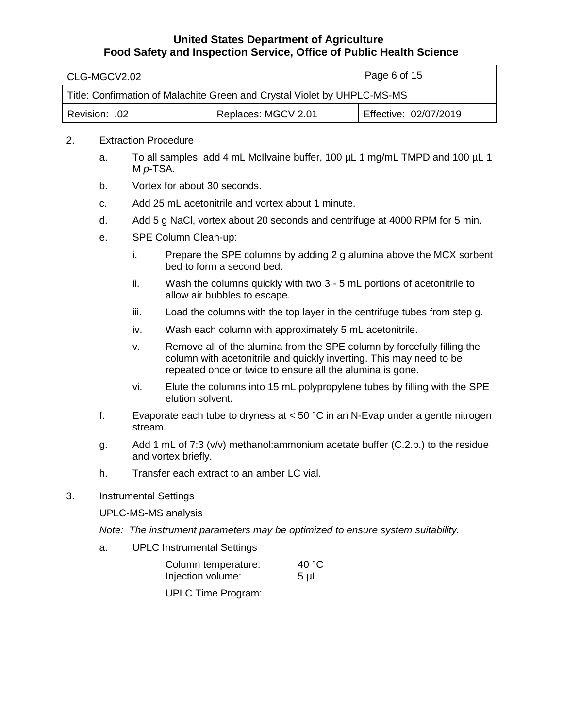| l CLG-MGCV2.02                                                           |                     | Page 6 of 15          |
|--------------------------------------------------------------------------|---------------------|-----------------------|
| Title: Confirmation of Malachite Green and Crystal Violet by UHPLC-MS-MS |                     |                       |
| Revision: .02                                                            | Replaces: MGCV 2.01 | Effective: 02/07/2019 |

### 2. Extraction Procedure

- a. To all samples, add 4 mL McIlvaine buffer, 100 µL 1 mg/mL TMPD and 100 µL 1 M *p*-TSA.
- b. Vortex for about 30 seconds.
- c. Add 25 mL acetonitrile and vortex about 1 minute.
- d. Add 5 g NaCl, vortex about 20 seconds and centrifuge at 4000 RPM for 5 min.
- e. SPE Column Clean-up:
	- i. Prepare the SPE columns by adding 2 g alumina above the MCX sorbent bed to form a second bed.
	- allow air bubbles to escape. ii. Wash the columns quickly with two 3 - 5 mL portions of acetonitrile to
	- iii. Load the columns with the top layer in the centrifuge tubes from step g.
	- iv. Wash each column with approximately 5 mL acetonitrile.
	- v. Remove all of the alumina from the SPE column by forcefully filling the column with acetonitrile and quickly inverting. This may need to be repeated once or twice to ensure all the alumina is gone.
	- vi. Elute the columns into 15 mL polypropylene tubes by filling with the SPE elution solvent.
- f. Evaporate each tube to dryness at < 50 °C in an N-Evap under a gentle nitrogen stream.
- g. Add 1 mL of 7:3 (v/v) methanol:ammonium acetate buffer (C.2.b.) to the residue and vortex briefly.
- h. Transfer each extract to an amber LC vial.
- 3. Instrumental Settings

UPLC-MS-MS analysis

- *Note: The instrument parameters may be optimized to ensure system suitability.*
- a. UPLC Instrumental Settings

| Column temperature: | 40 $^{\circ}$ C |
|---------------------|-----------------|
| Injection volume:   | $5 \mu L$       |

UPLC Time Program: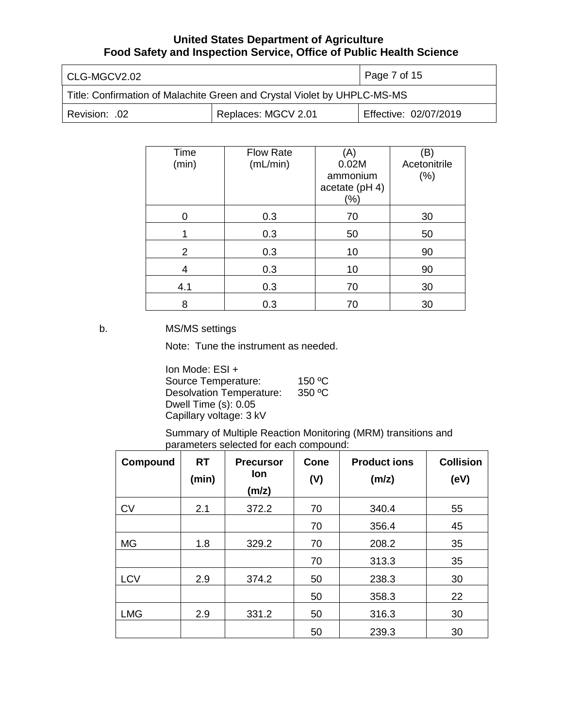| l CLG-MGCV2.02                                                           |                     | Page 7 of 15          |
|--------------------------------------------------------------------------|---------------------|-----------------------|
| Title: Confirmation of Malachite Green and Crystal Violet by UHPLC-MS-MS |                     |                       |
| 02. Revision:                                                            | Replaces: MGCV 2.01 | Effective: 02/07/2019 |

| Time           | <b>Flow Rate</b> | (A)            | (B)          |
|----------------|------------------|----------------|--------------|
| (min)          | (mL/min)         | 0.02M          | Acetonitrile |
|                |                  | ammonium       | (%)          |
|                |                  | acetate (pH 4) |              |
|                |                  |                |              |
|                |                  | $(\% )$        |              |
|                | 0.3              | 70             | 30           |
|                |                  |                |              |
|                | 0.3              | 50             | 50           |
| $\overline{2}$ | 0.3              | 10             | 90           |
|                |                  |                |              |
| 4              | 0.3              | 10             | 90           |
|                |                  | 70             |              |
| 4.1            | 0.3              |                | 30           |
| 8              | 0.3              | 70             | 30           |

b. MS/MS settings

Note: Tune the instrument as needed.

 Capillary voltage: 3 kV Ion Mode: ESI + Source Temperature: 150 °C Desolvation Temperature: 350 °C Dwell Time (s): 0.05

 Summary of Multiple Reaction Monitoring (MRM) transitions and parameters selected for each compound:

| Compound   | <b>RT</b><br>(min) | <b>Precursor</b><br>lon<br>(m/z) | <b>Cone</b><br>(V) | <b>Product ions</b><br>(m/z) | <b>Collision</b><br>(eV) |
|------------|--------------------|----------------------------------|--------------------|------------------------------|--------------------------|
| <b>CV</b>  | 2.1                | 372.2                            | 70                 | 340.4                        | 55                       |
|            |                    |                                  | 70                 | 356.4                        | 45                       |
| <b>MG</b>  | 1.8                | 329.2                            | 70                 | 208.2                        | 35                       |
|            |                    |                                  | 70                 | 313.3                        | 35                       |
| <b>LCV</b> | 2.9                | 374.2                            | 50                 | 238.3                        | 30                       |
|            |                    |                                  | 50                 | 358.3                        | 22                       |
| <b>LMG</b> | 2.9                | 331.2                            | 50                 | 316.3                        | 30                       |
|            |                    |                                  | 50                 | 239.3                        | 30                       |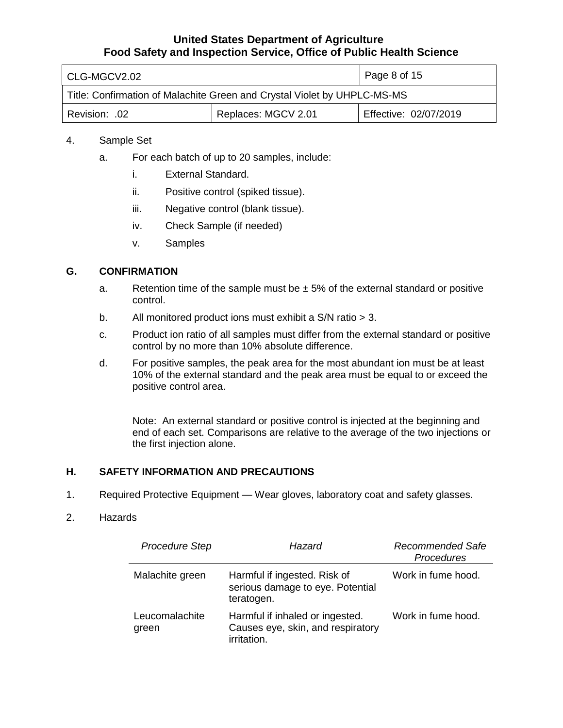| l CLG-MGCV2.02                                                           |                     | Page 8 of 15          |  |
|--------------------------------------------------------------------------|---------------------|-----------------------|--|
| Title: Confirmation of Malachite Green and Crystal Violet by UHPLC-MS-MS |                     |                       |  |
| .02. :Revision                                                           | Replaces: MGCV 2.01 | Effective: 02/07/2019 |  |

### 4. Sample Set

- a. For each batch of up to 20 samples, include:
	- i. External Standard.
	- ii. Positive control (spiked tissue).
	- iii. Negative control (blank tissue).
	- iv. Check Sample (if needed)
	- v. Samples

### **G. CONFIRMATION**

- a. Retention time of the sample must be  $\pm$  5% of the external standard or positive control.
- b. All monitored product ions must exhibit a S/N ratio > 3.
- c. Product ion ratio of all samples must differ from the external standard or positive control by no more than 10% absolute difference.
- d. For positive samples, the peak area for the most abundant ion must be at least 10% of the external standard and the peak area must be equal to or exceed the positive control area.

 Note: An external standard or positive control is injected at the beginning and end of each set. Comparisons are relative to the average of the two injections or the first injection alone.

### **H. SAFETY INFORMATION AND PRECAUTIONS**

1. Required Protective Equipment — Wear gloves, laboratory coat and safety glasses.

#### 2. Hazards

| <b>Procedure Step</b>   | Hazard                                                                              | Recommended Safe<br>Procedures |
|-------------------------|-------------------------------------------------------------------------------------|--------------------------------|
| Malachite green         | Harmful if ingested. Risk of<br>serious damage to eye. Potential<br>teratogen.      | Work in fume hood.             |
| Leucomalachite<br>green | Harmful if inhaled or ingested.<br>Causes eye, skin, and respiratory<br>irritation. | Work in fume hood.             |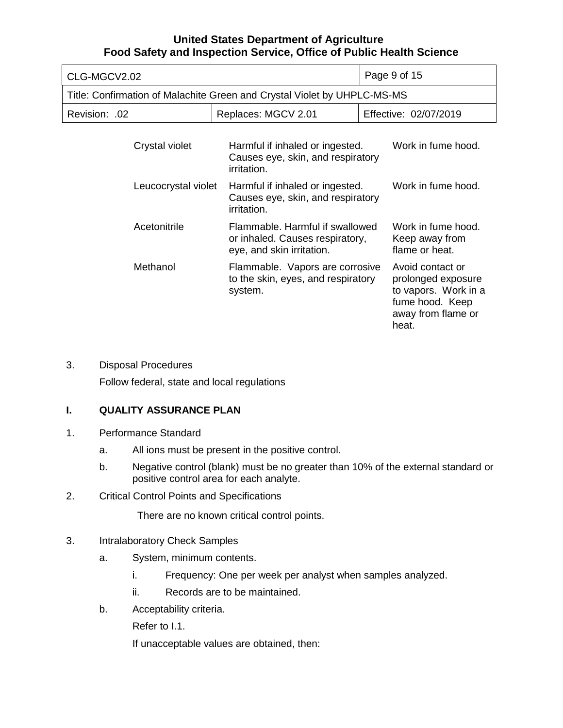| CLG-MGCV2.02                                                             | Page 9 of 15                                                                                    |                                                                                                                  |
|--------------------------------------------------------------------------|-------------------------------------------------------------------------------------------------|------------------------------------------------------------------------------------------------------------------|
| Title: Confirmation of Malachite Green and Crystal Violet by UHPLC-MS-MS |                                                                                                 |                                                                                                                  |
| Revision: .02                                                            | Replaces: MGCV 2.01                                                                             | Effective: 02/07/2019                                                                                            |
| Crystal violet                                                           | Harmful if inhaled or ingested.<br>Causes eye, skin, and respiratory<br><i>irritation.</i>      | Work in fume hood.                                                                                               |
| Leucocrystal violet                                                      | Harmful if inhaled or ingested.<br>Causes eye, skin, and respiratory<br><i>irritation.</i>      | Work in fume hood.                                                                                               |
| Acetonitrile                                                             | Flammable. Harmful if swallowed<br>or inhaled. Causes respiratory,<br>eye, and skin irritation. | Work in fume hood.<br>Keep away from<br>flame or heat.                                                           |
| Methanol                                                                 | Flammable. Vapors are corrosive<br>to the skin, eyes, and respiratory<br>system.                | Avoid contact or<br>prolonged exposure<br>to vapors. Work in a<br>fume hood. Keep<br>away from flame or<br>heat. |

3. Disposal Procedures

Follow federal, state and local regulations

# **I. QUALITY ASSURANCE PLAN**

- 1. Performance Standard
	- a. All ions must be present in the positive control.
	- b. Negative control (blank) must be no greater than 10% of the external standard or positive control area for each analyte.
- 2. Critical Control Points and Specifications

There are no known critical control points.

- 3. Intralaboratory Check Samples
	- a. System, minimum contents.
		- i. Frequency: One per week per analyst when samples analyzed.
		- ii. Records are to be maintained.
	- b. Acceptability criteria.

Refer to I.1.

If unacceptable values are obtained, then: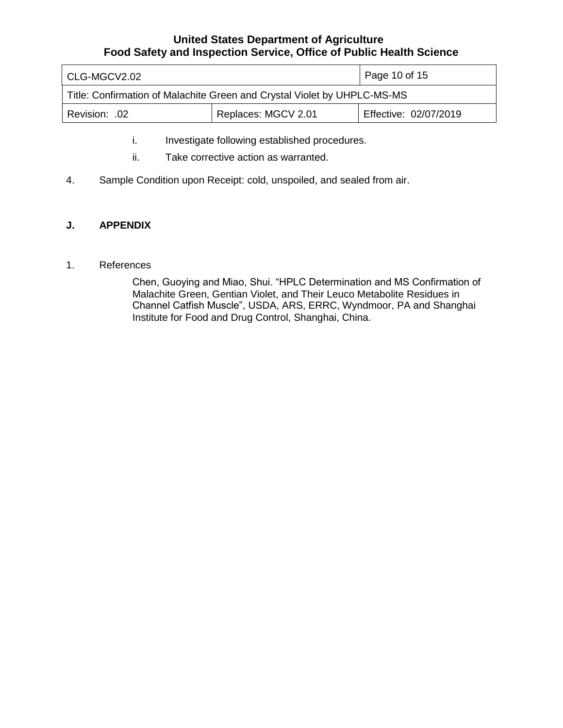| CLG-MGCV2.02                                                             |                     | Page 10 of 15         |
|--------------------------------------------------------------------------|---------------------|-----------------------|
| Title: Confirmation of Malachite Green and Crystal Violet by UHPLC-MS-MS |                     |                       |
| .02. :Revision                                                           | Replaces: MGCV 2.01 | Effective: 02/07/2019 |

- i. Investigate following established procedures.
- ii. Take corrective action as warranted.
- 4. Sample Condition upon Receipt: cold, unspoiled, and sealed from air.

# **J. APPENDIX**

#### 1. References

 Chen, Guoying and Miao, Shui. "HPLC Determination and MS Confirmation of Malachite Green, Gentian Violet, and Their Leuco Metabolite Residues in Channel Catfish Muscle", USDA, ARS, ERRC, Wyndmoor, PA and Shanghai Institute for Food and Drug Control, Shanghai, China.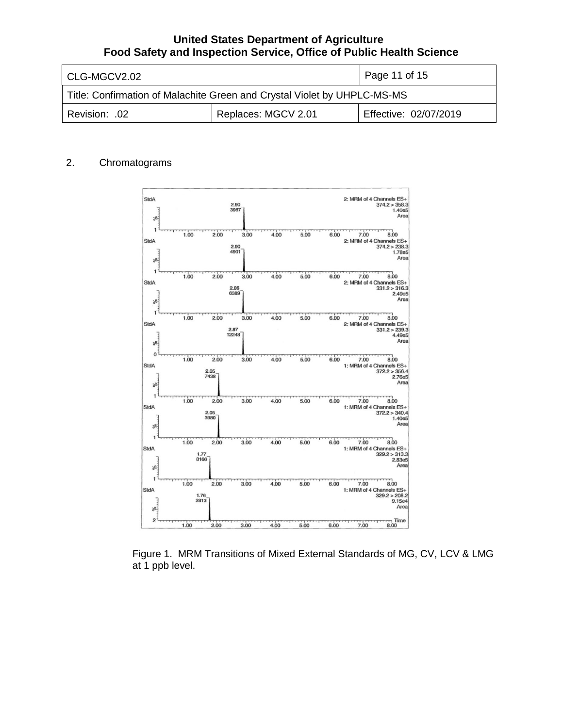| l CLG-MGCV2.02                                                           |                     | Page 11 of 15         |
|--------------------------------------------------------------------------|---------------------|-----------------------|
| Title: Confirmation of Malachite Green and Crystal Violet by UHPLC-MS-MS |                     |                       |
| Revision: .02                                                            | Replaces: MGCV 2.01 | Effective: 02/07/2019 |

# 2. Chromatograms



 Figure 1. MRM Transitions of Mixed External Standards of MG, CV, LCV & LMG at 1 ppb level.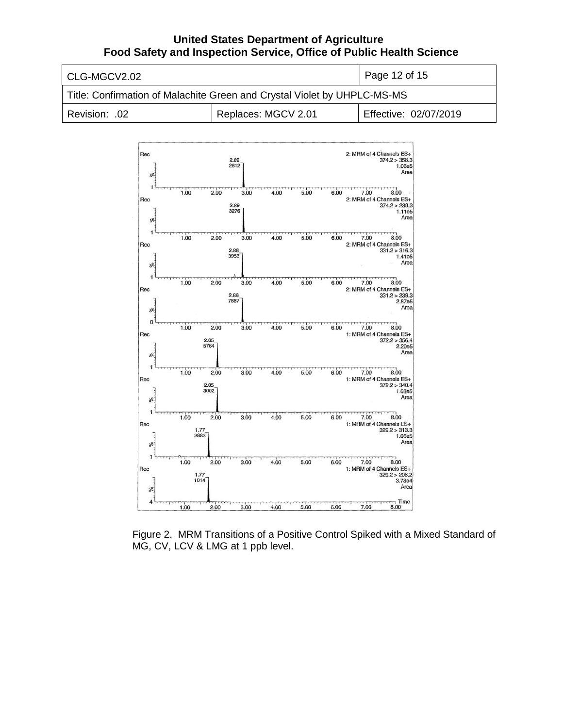| l CLG-MGCV2.02                                                           |                     | Page 12 of 15         |
|--------------------------------------------------------------------------|---------------------|-----------------------|
| Title: Confirmation of Malachite Green and Crystal Violet by UHPLC-MS-MS |                     |                       |
| Revision: .02                                                            | Replaces: MGCV 2.01 | Effective: 02/07/2019 |



 Figure 2. MRM Transitions of a Positive Control Spiked with a Mixed Standard of MG, CV, LCV & LMG at 1 ppb level.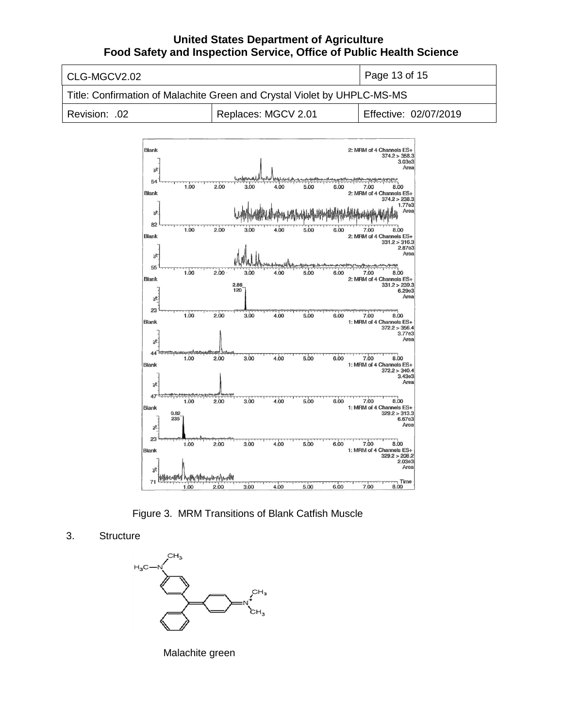

Figure 3. MRM Transitions of Blank Catfish Muscle

*s.bo* 6.00

7.00 **1 Time**  8.00

3. Structure



Malachite green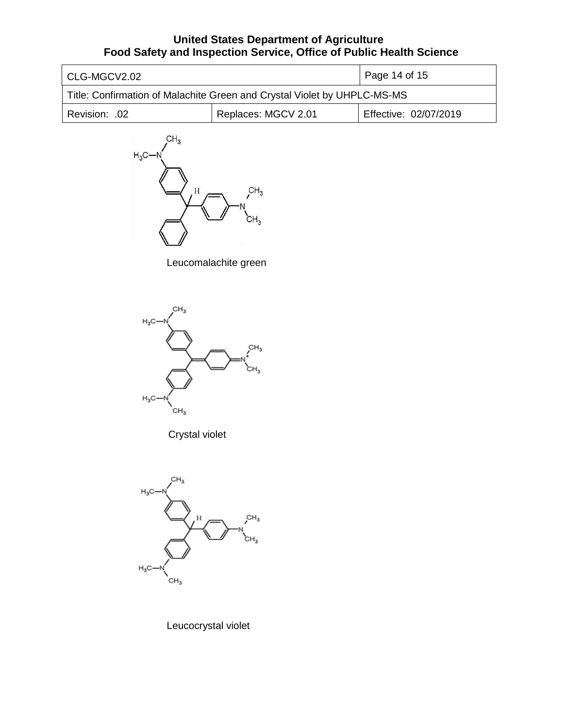| l CLG-MGCV2.02                                                           |                     | Page 14 of 15         |
|--------------------------------------------------------------------------|---------------------|-----------------------|
| Title: Confirmation of Malachite Green and Crystal Violet by UHPLC-MS-MS |                     |                       |
| Revision: .02                                                            | Replaces: MGCV 2.01 | Effective: 02/07/2019 |



Leucomalachite green



Crystal violet



Leucocrystal violet